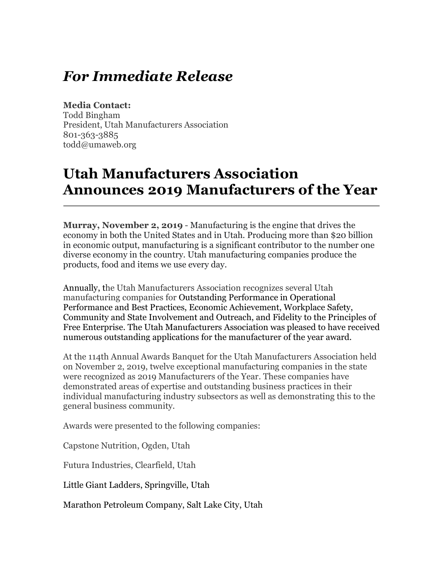## *For Immediate Release*

## **Media Contact:**

Todd Bingham President, Utah Manufacturers Association 801-363-3885 todd@umaweb.org

## **Utah Manufacturers Association Announces 2019 Manufacturers of the Year**

**Murray, November 2, 2019** - Manufacturing is the engine that drives the economy in both the United States and in Utah. Producing more than \$20 billion in economic output, manufacturing is a significant contributor to the number one diverse economy in the country. Utah manufacturing companies produce the products, food and items we use every day.

Annually, the Utah Manufacturers Association recognizes several Utah manufacturing companies for Outstanding Performance in Operational Performance and Best Practices, Economic Achievement, Workplace Safety, Community and State Involvement and Outreach, and Fidelity to the Principles of Free Enterprise. The Utah Manufacturers Association was pleased to have received numerous outstanding applications for the manufacturer of the year award.

At the 114th Annual Awards Banquet for the Utah Manufacturers Association held on November 2, 2019, twelve exceptional manufacturing companies in the state were recognized as 2019 Manufacturers of the Year. These companies have demonstrated areas of expertise and outstanding business practices in their individual manufacturing industry subsectors as well as demonstrating this to the general business community.

Awards were presented to the following companies:

Capstone Nutrition, Ogden, Utah

Futura Industries, Clearfield, Utah

Little Giant Ladders, Springville, Utah

Marathon Petroleum Company, Salt Lake City, Utah